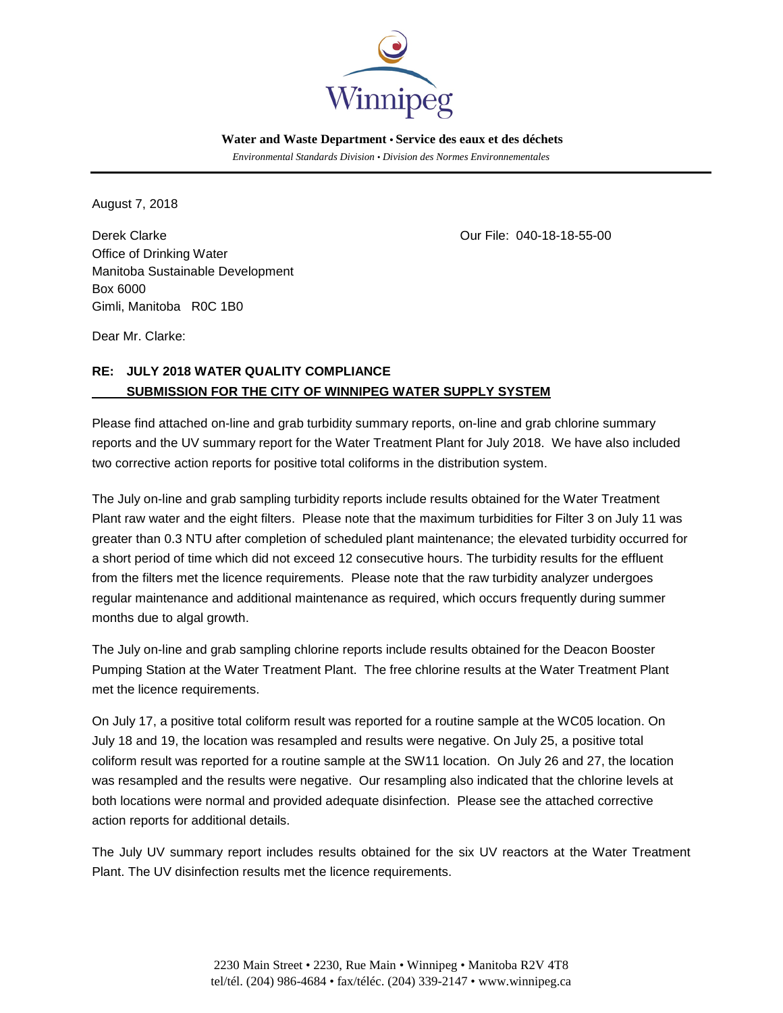

 *Environmental Standards Division • Division des Normes Environnementales*

August 7, 2018

Derek Clarke Our File: 040-18-18-55-00 Office of Drinking Water Manitoba Sustainable Development Box 6000 Gimli, Manitoba R0C 1B0

Dear Mr. Clarke:

# **RE: JULY 2018 WATER QUALITY COMPLIANCE SUBMISSION FOR THE CITY OF WINNIPEG WATER SUPPLY SYSTEM**

Please find attached on-line and grab turbidity summary reports, on-line and grab chlorine summary reports and the UV summary report for the Water Treatment Plant for July 2018. We have also included two corrective action reports for positive total coliforms in the distribution system.

The July on-line and grab sampling turbidity reports include results obtained for the Water Treatment Plant raw water and the eight filters. Please note that the maximum turbidities for Filter 3 on July 11 was greater than 0.3 NTU after completion of scheduled plant maintenance; the elevated turbidity occurred for a short period of time which did not exceed 12 consecutive hours. The turbidity results for the effluent from the filters met the licence requirements. Please note that the raw turbidity analyzer undergoes regular maintenance and additional maintenance as required, which occurs frequently during summer months due to algal growth.

The July on-line and grab sampling chlorine reports include results obtained for the Deacon Booster Pumping Station at the Water Treatment Plant. The free chlorine results at the Water Treatment Plant met the licence requirements.

On July 17, a positive total coliform result was reported for a routine sample at the WC05 location. On July 18 and 19, the location was resampled and results were negative. On July 25, a positive total coliform result was reported for a routine sample at the SW11 location. On July 26 and 27, the location was resampled and the results were negative. Our resampling also indicated that the chlorine levels at both locations were normal and provided adequate disinfection. Please see the attached corrective action reports for additional details.

The July UV summary report includes results obtained for the six UV reactors at the Water Treatment Plant. The UV disinfection results met the licence requirements.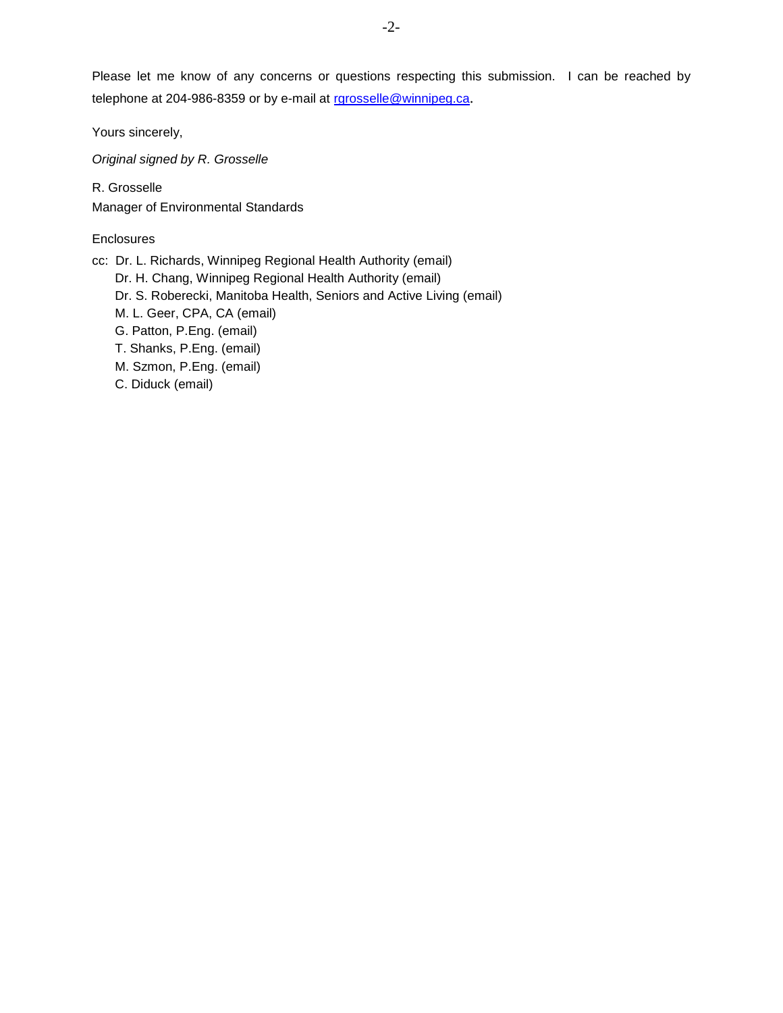Please let me know of any concerns or questions respecting this submission. I can be reached by telephone at 204-986-8359 or by e-mail at [rgrosselle@winnipeg.ca](mailto:rgrosselle@winnipeg.ca).

Yours sincerely,

*Original signed by R. Grosselle*

R. Grosselle Manager of Environmental Standards

# **Enclosures**

cc: Dr. L. Richards, Winnipeg Regional Health Authority (email)

Dr. H. Chang, Winnipeg Regional Health Authority (email)

- Dr. S. Roberecki, Manitoba Health, Seniors and Active Living (email)
- M. L. Geer, CPA, CA (email)
- G. Patton, P.Eng. (email)
- T. Shanks, P.Eng. (email)
- M. Szmon, P.Eng. (email)
- C. Diduck (email)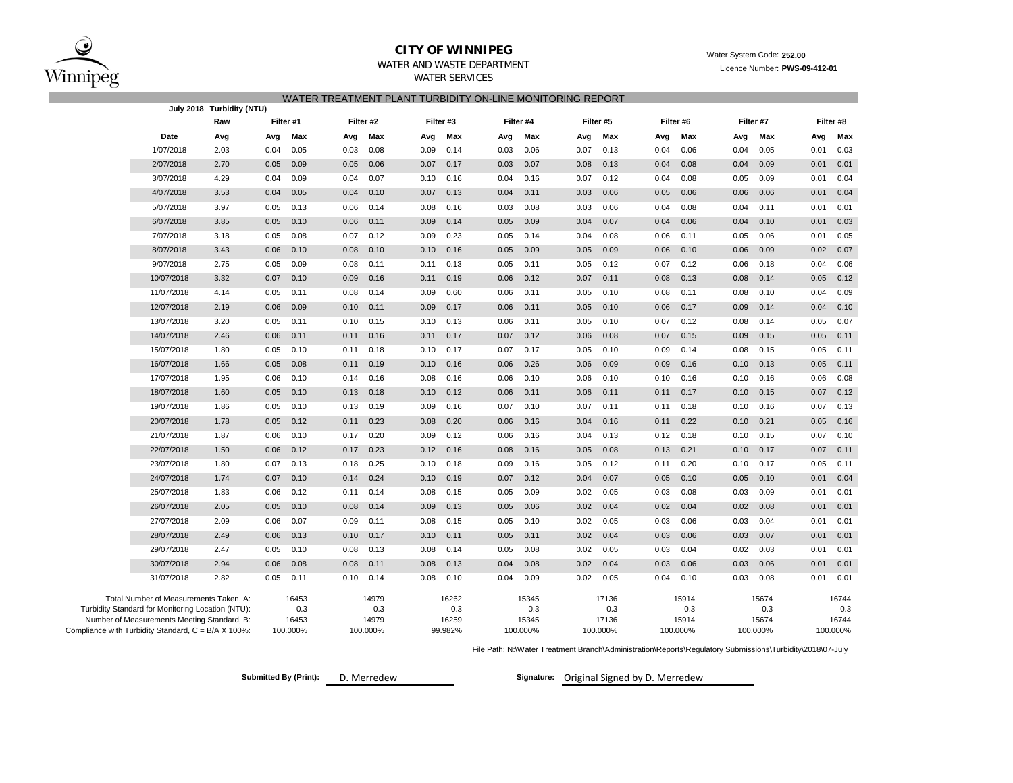

**July 2018 Turbidity (NTU)**

WATER SERVICES

# **CITY OF WINNIPEG**<br>WATER AND WASTE DEPARTMENT

Licence Number: **PWS-09-412-01** 

|                 |           |     |     |           | WATER TREATMENT PLANT TURBIDITY ON-LINE MONITORING REPORT |           |         |           |     |           |     |           |           |     |           |
|-----------------|-----------|-----|-----|-----------|-----------------------------------------------------------|-----------|---------|-----------|-----|-----------|-----|-----------|-----------|-----|-----------|
| Turbidity (NTU) |           |     |     |           |                                                           |           |         |           |     |           |     |           |           |     |           |
| Raw             | Filter #1 |     |     | Filter #2 |                                                           | Filter #3 |         | Filter #4 |     | Filter #5 |     | Filter #6 | Filter #7 |     | Filter #8 |
| Avg             | Avg       | Max | Avg | Max       | Avg                                                       | Max       | Ava     | Max       | Ava | Max       | Ava | Max       | Ava       | Max | M<br>Avg  |
| - - -           |           | .   |     | .         |                                                           | .         | - - - - | .         |     | .         |     | .         | .         |     | .         |

|                                                     | Date                                                                                                                                       | Avg  | Avg  | Max                               | Avg  | Max                               | Avg  | Max                              | Avg  | Max                               | Avg  | Max                               | Avg  | Max                               | Avg  | Max                               | Avg      | Max                   |
|-----------------------------------------------------|--------------------------------------------------------------------------------------------------------------------------------------------|------|------|-----------------------------------|------|-----------------------------------|------|----------------------------------|------|-----------------------------------|------|-----------------------------------|------|-----------------------------------|------|-----------------------------------|----------|-----------------------|
|                                                     | 1/07/2018                                                                                                                                  | 2.03 | 0.04 | 0.05                              | 0.03 | 0.08                              | 0.09 | 0.14                             | 0.03 | 0.06                              | 0.07 | 0.13                              | 0.04 | 0.06                              | 0.04 | 0.05                              | 0.01     | 0.03                  |
|                                                     | 2/07/2018                                                                                                                                  | 2.70 | 0.05 | 0.09                              | 0.05 | 0.06                              | 0.07 | 0.17                             | 0.03 | 0.07                              | 0.08 | 0.13                              | 0.04 | 0.08                              | 0.04 | 0.09                              | 0.01     | 0.01                  |
|                                                     | 3/07/2018                                                                                                                                  | 4.29 | 0.04 | 0.09                              | 0.04 | 0.07                              | 0.10 | 0.16                             | 0.04 | 0.16                              | 0.07 | 0.12                              | 0.04 | 0.08                              | 0.05 | 0.09                              | 0.01     | 0.04                  |
|                                                     | 4/07/2018                                                                                                                                  | 3.53 | 0.04 | 0.05                              | 0.04 | 0.10                              | 0.07 | 0.13                             | 0.04 | 0.11                              | 0.03 | 0.06                              | 0.05 | 0.06                              | 0.06 | 0.06                              | 0.01     | 0.04                  |
|                                                     | 5/07/2018                                                                                                                                  | 3.97 | 0.05 | 0.13                              | 0.06 | 0.14                              | 0.08 | 0.16                             | 0.03 | 0.08                              | 0.03 | 0.06                              | 0.04 | 0.08                              | 0.04 | 0.11                              | 0.01     | 0.01                  |
|                                                     | 6/07/2018                                                                                                                                  | 3.85 | 0.05 | 0.10                              | 0.06 | 0.11                              | 0.09 | 0.14                             | 0.05 | 0.09                              | 0.04 | 0.07                              | 0.04 | 0.06                              | 0.04 | 0.10                              | 0.01     | 0.03                  |
|                                                     | 7/07/2018                                                                                                                                  | 3.18 | 0.05 | 0.08                              | 0.07 | 0.12                              | 0.09 | 0.23                             | 0.05 | 0.14                              | 0.04 | 0.08                              | 0.06 | 0.11                              | 0.05 | 0.06                              | 0.01     | 0.05                  |
|                                                     | 8/07/2018                                                                                                                                  | 3.43 | 0.06 | 0.10                              | 0.08 | 0.10                              | 0.10 | 0.16                             | 0.05 | 0.09                              | 0.05 | 0.09                              | 0.06 | 0.10                              | 0.06 | 0.09                              | 0.02     | 0.07                  |
|                                                     | 9/07/2018                                                                                                                                  | 2.75 | 0.05 | 0.09                              | 0.08 | 0.11                              | 0.11 | 0.13                             | 0.05 | 0.11                              | 0.05 | 0.12                              | 0.07 | 0.12                              | 0.06 | 0.18                              | 0.04     | 0.06                  |
|                                                     | 10/07/2018                                                                                                                                 | 3.32 | 0.07 | 0.10                              | 0.09 | 0.16                              | 0.11 | 0.19                             | 0.06 | 0.12                              | 0.07 | 0.11                              | 0.08 | 0.13                              | 0.08 | 0.14                              | 0.05     | 0.12                  |
|                                                     | 11/07/2018                                                                                                                                 | 4.14 | 0.05 | 0.11                              | 0.08 | 0.14                              | 0.09 | 0.60                             | 0.06 | 0.11                              | 0.05 | 0.10                              | 0.08 | 0.11                              | 0.08 | 0.10                              | 0.04     | 0.09                  |
|                                                     | 12/07/2018                                                                                                                                 | 2.19 | 0.06 | 0.09                              | 0.10 | 0.11                              | 0.09 | 0.17                             | 0.06 | 0.11                              | 0.05 | 0.10                              | 0.06 | 0.17                              | 0.09 | 0.14                              | 0.04     | 0.10                  |
|                                                     | 13/07/2018                                                                                                                                 | 3.20 | 0.05 | 0.11                              | 0.10 | 0.15                              | 0.10 | 0.13                             | 0.06 | 0.11                              | 0.05 | 0.10                              | 0.07 | 0.12                              | 0.08 | 0.14                              | 0.05     | 0.07                  |
|                                                     | 14/07/2018                                                                                                                                 | 2.46 | 0.06 | 0.11                              | 0.11 | 0.16                              | 0.11 | 0.17                             | 0.07 | 0.12                              | 0.06 | 0.08                              | 0.07 | 0.15                              | 0.09 | 0.15                              | 0.05     | 0.11                  |
|                                                     | 15/07/2018                                                                                                                                 | 1.80 | 0.05 | 0.10                              | 0.11 | 0.18                              | 0.10 | 0.17                             | 0.07 | 0.17                              | 0.05 | 0.10                              | 0.09 | 0.14                              | 0.08 | 0.15                              | 0.05     | 0.11                  |
|                                                     | 16/07/2018                                                                                                                                 | 1.66 | 0.05 | 0.08                              | 0.11 | 0.19                              | 0.10 | 0.16                             | 0.06 | 0.26                              | 0.06 | 0.09                              | 0.09 | 0.16                              | 0.10 | 0.13                              | 0.05     | 0.11                  |
|                                                     | 17/07/2018                                                                                                                                 | 1.95 | 0.06 | 0.10                              | 0.14 | 0.16                              | 0.08 | 0.16                             | 0.06 | 0.10                              | 0.06 | 0.10                              | 0.10 | 0.16                              | 0.10 | 0.16                              | 0.06     | 0.08                  |
|                                                     | 18/07/2018                                                                                                                                 | 1.60 | 0.05 | 0.10                              | 0.13 | 0.18                              | 0.10 | 0.12                             | 0.06 | 0.11                              | 0.06 | 0.11                              | 0.11 | 0.17                              | 0.10 | 0.15                              | 0.07     | 0.12                  |
|                                                     | 19/07/2018                                                                                                                                 | 1.86 | 0.05 | 0.10                              | 0.13 | 0.19                              | 0.09 | 0.16                             | 0.07 | 0.10                              | 0.07 | 0.11                              | 0.11 | 0.18                              | 0.10 | 0.16                              | 0.07     | 0.13                  |
|                                                     | 20/07/2018                                                                                                                                 | 1.78 | 0.05 | 0.12                              | 0.11 | 0.23                              | 0.08 | 0.20                             | 0.06 | 0.16                              | 0.04 | 0.16                              | 0.11 | 0.22                              | 0.10 | 0.21                              | 0.05     | 0.16                  |
|                                                     | 21/07/2018                                                                                                                                 | 1.87 | 0.06 | 0.10                              | 0.17 | 0.20                              | 0.09 | 0.12                             | 0.06 | 0.16                              | 0.04 | 0.13                              | 0.12 | 0.18                              | 0.10 | 0.15                              | 0.07     | 0.10                  |
|                                                     | 22/07/2018                                                                                                                                 | 1.50 | 0.06 | 0.12                              | 0.17 | 0.23                              | 0.12 | 0.16                             | 0.08 | 0.16                              | 0.05 | 0.08                              | 0.13 | 0.21                              | 0.10 | 0.17                              | 0.07     | 0.11                  |
|                                                     | 23/07/2018                                                                                                                                 | 1.80 | 0.07 | 0.13                              | 0.18 | 0.25                              | 0.10 | 0.18                             | 0.09 | 0.16                              | 0.05 | 0.12                              | 0.11 | 0.20                              | 0.10 | 0.17                              | 0.05     | 0.11                  |
|                                                     | 24/07/2018                                                                                                                                 | 1.74 | 0.07 | 0.10                              | 0.14 | 0.24                              | 0.10 | 0.19                             | 0.07 | 0.12                              | 0.04 | 0.07                              | 0.05 | 0.10                              | 0.05 | 0.10                              | 0.01     | 0.04                  |
|                                                     | 25/07/2018                                                                                                                                 | 1.83 | 0.06 | 0.12                              | 0.11 | 0.14                              | 0.08 | 0.15                             | 0.05 | 0.09                              | 0.02 | 0.05                              | 0.03 | 0.08                              | 0.03 | 0.09                              | 0.01     | 0.01                  |
|                                                     | 26/07/2018                                                                                                                                 | 2.05 | 0.05 | 0.10                              | 0.08 | 0.14                              | 0.09 | 0.13                             | 0.05 | 0.06                              | 0.02 | 0.04                              | 0.02 | 0.04                              | 0.02 | 0.08                              | 0.01     | 0.01                  |
|                                                     | 27/07/2018                                                                                                                                 | 2.09 | 0.06 | 0.07                              | 0.09 | 0.11                              | 0.08 | 0.15                             | 0.05 | 0.10                              | 0.02 | 0.05                              | 0.03 | 0.06                              | 0.03 | 0.04                              | 0.01     | 0.01                  |
|                                                     | 28/07/2018                                                                                                                                 | 2.49 | 0.06 | 0.13                              | 0.10 | 0.17                              | 0.10 | 0.11                             | 0.05 | 0.11                              | 0.02 | 0.04                              | 0.03 | 0.06                              | 0.03 | 0.07                              | 0.01     | 0.01                  |
|                                                     | 29/07/2018                                                                                                                                 | 2.47 | 0.05 | 0.10                              | 0.08 | 0.13                              | 0.08 | 0.14                             | 0.05 | 0.08                              | 0.02 | 0.05                              | 0.03 | 0.04                              | 0.02 | 0.03                              | 0.01     | 0.01                  |
|                                                     | 30/07/2018                                                                                                                                 | 2.94 | 0.06 | 0.08                              | 0.08 | 0.11                              | 0.08 | 0.13                             | 0.04 | 0.08                              | 0.02 | 0.04                              | 0.03 | 0.06                              | 0.03 | 0.06                              | 0.01     | 0.01                  |
|                                                     | 31/07/2018                                                                                                                                 | 2.82 | 0.05 | 0.11                              | 0.10 | 0.14                              | 0.08 | 0.10                             | 0.04 | 0.09                              | 0.02 | 0.05                              | 0.04 | 0.10                              | 0.03 | 0.08                              | 0.01     | 0.01                  |
| Compliance with Turbidity Standard, C = B/A X 100%: | Total Number of Measurements Taken, A:<br>Turbidity Standard for Monitoring Location (NTU):<br>Number of Measurements Meeting Standard, B: |      |      | 16453<br>0.3<br>16453<br>100.000% |      | 14979<br>0.3<br>14979<br>100.000% |      | 16262<br>0.3<br>16259<br>99.982% |      | 15345<br>0.3<br>15345<br>100.000% |      | 17136<br>0.3<br>17136<br>100.000% |      | 15914<br>0.3<br>15914<br>100.000% |      | 15674<br>0.3<br>15674<br>100.000% | 100.000% | 16744<br>0.3<br>16744 |
|                                                     |                                                                                                                                            |      |      |                                   |      |                                   |      |                                  |      |                                   |      |                                   |      |                                   |      |                                   |          |                       |

File Path: N:\Water Treatment Branch\Administration\Reports\Regulatory Submissions\Turbidity\2018\07-July

**Submitted By (Print):** 

D. Merredew **Communist Communist Communist Communist Communist Communist Communist Communist Communist Communist Communist Communist Communist Communist Communist Communist Communist Communist Communist Communist Communist**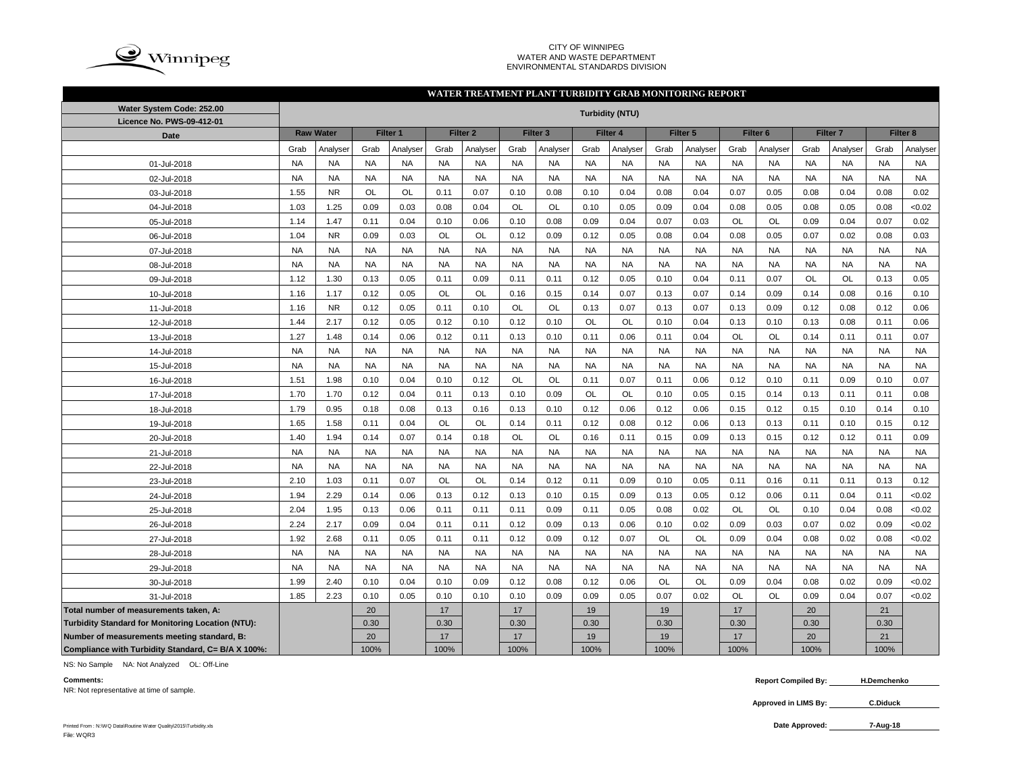

#### CITY OF WINNIPEG WATER AND WASTE DEPARTMENT ENVIRONMENTAL STANDARDS DIVISION

#### **WATER TREATMENT PLANT TURBIDITY GRAB MONITORING REPORT**

| Water System Code: 252.00                          |           | <b>Turbidity (NTU)</b> |           |           |           |                     |           |                     |           |           |           |           |           |                     |           |                     |           |           |
|----------------------------------------------------|-----------|------------------------|-----------|-----------|-----------|---------------------|-----------|---------------------|-----------|-----------|-----------|-----------|-----------|---------------------|-----------|---------------------|-----------|-----------|
| Licence No. PWS-09-412-01                          |           | <b>Raw Water</b>       |           | Filter 1  |           | Filter <sub>2</sub> |           | Filter <sub>3</sub> |           | Filter 4  |           | Filter 5  |           | Filter <sub>6</sub> |           | Filter <sub>7</sub> |           | Filter 8  |
| <b>Date</b>                                        | Grab      | Analyser               | Grab      | Analyser  | Grab      | Analyser            | Grab      | Analyser            | Grab      | Analyser  | Grab      | Analyser  | Grab      | Analvser            | Grab      | Analvser            | Grab      | Analyser  |
| 01-Jul-2018                                        | <b>NA</b> | <b>NA</b>              | <b>NA</b> | <b>NA</b> | <b>NA</b> | <b>NA</b>           | <b>NA</b> | <b>NA</b>           | <b>NA</b> | <b>NA</b> | <b>NA</b> | <b>NA</b> | <b>NA</b> | <b>NA</b>           | <b>NA</b> | <b>NA</b>           | <b>NA</b> | <b>NA</b> |
| 02-Jul-2018                                        | <b>NA</b> | <b>NA</b>              | <b>NA</b> | <b>NA</b> | <b>NA</b> | <b>NA</b>           | <b>NA</b> | <b>NA</b>           | <b>NA</b> | <b>NA</b> | <b>NA</b> | <b>NA</b> | <b>NA</b> | <b>NA</b>           | <b>NA</b> | <b>NA</b>           | <b>NA</b> | <b>NA</b> |
| 03-Jul-2018                                        | 1.55      | <b>NR</b>              | <b>OL</b> | <b>OL</b> | 0.11      | 0.07                | 0.10      | 0.08                | 0.10      | 0.04      | 0.08      | 0.04      | 0.07      | 0.05                | 0.08      | 0.04                | 0.08      | 0.02      |
| 04-Jul-2018                                        | 1.03      | 1.25                   | 0.09      | 0.03      | 0.08      | 0.04                | <b>OL</b> | <b>OL</b>           | 0.10      | 0.05      | 0.09      | 0.04      | 0.08      | 0.05                | 0.08      | 0.05                | 0.08      | <0.02     |
| 05-Jul-2018                                        | 1.14      | 1.47                   | 0.11      | 0.04      | 0.10      | 0.06                | 0.10      | 0.08                | 0.09      | 0.04      | 0.07      | 0.03      | OL        | OL                  | 0.09      | 0.04                | 0.07      | 0.02      |
| 06-Jul-2018                                        | 1.04      | <b>NR</b>              | 0.09      | 0.03      | OL        | <b>OL</b>           | 0.12      | 0.09                | 0.12      | 0.05      | 0.08      | 0.04      | 0.08      | 0.05                | 0.07      | 0.02                | 0.08      | 0.03      |
| 07-Jul-2018                                        | <b>NA</b> | <b>NA</b>              | <b>NA</b> | <b>NA</b> | <b>NA</b> | <b>NA</b>           | <b>NA</b> | <b>NA</b>           | <b>NA</b> | <b>NA</b> | <b>NA</b> | <b>NA</b> | <b>NA</b> | <b>NA</b>           | <b>NA</b> | <b>NA</b>           | <b>NA</b> | <b>NA</b> |
| 08-Jul-2018                                        | <b>NA</b> | <b>NA</b>              | <b>NA</b> | <b>NA</b> | <b>NA</b> | <b>NA</b>           | <b>NA</b> | <b>NA</b>           | <b>NA</b> | <b>NA</b> | <b>NA</b> | <b>NA</b> | <b>NA</b> | <b>NA</b>           | <b>NA</b> | <b>NA</b>           | <b>NA</b> | <b>NA</b> |
| 09-Jul-2018                                        | 1.12      | 1.30                   | 0.13      | 0.05      | 0.11      | 0.09                | 0.11      | 0.11                | 0.12      | 0.05      | 0.10      | 0.04      | 0.11      | 0.07                | <b>OL</b> | OL                  | 0.13      | 0.05      |
| 10-Jul-2018                                        | 1.16      | 1.17                   | 0.12      | 0.05      | OL        | OL                  | 0.16      | 0.15                | 0.14      | 0.07      | 0.13      | 0.07      | 0.14      | 0.09                | 0.14      | 0.08                | 0.16      | 0.10      |
| 11-Jul-2018                                        | 1.16      | <b>NR</b>              | 0.12      | 0.05      | 0.11      | 0.10                | <b>OL</b> | OL                  | 0.13      | 0.07      | 0.13      | 0.07      | 0.13      | 0.09                | 0.12      | 0.08                | 0.12      | 0.06      |
| 12-Jul-2018                                        | 1.44      | 2.17                   | 0.12      | 0.05      | 0.12      | 0.10                | 0.12      | 0.10                | <b>OL</b> | OL        | 0.10      | 0.04      | 0.13      | 0.10                | 0.13      | 0.08                | 0.11      | 0.06      |
| 13-Jul-2018                                        | 1.27      | 1.48                   | 0.14      | 0.06      | 0.12      | 0.11                | 0.13      | 0.10                | 0.11      | 0.06      | 0.11      | 0.04      | OL        | <b>OL</b>           | 0.14      | 0.11                | 0.11      | 0.07      |
| 14-Jul-2018                                        | <b>NA</b> | <b>NA</b>              | <b>NA</b> | <b>NA</b> | <b>NA</b> | <b>NA</b>           | <b>NA</b> | <b>NA</b>           | <b>NA</b> | <b>NA</b> | <b>NA</b> | <b>NA</b> | <b>NA</b> | <b>NA</b>           | <b>NA</b> | <b>NA</b>           | <b>NA</b> | <b>NA</b> |
| 15-Jul-2018                                        | <b>NA</b> | <b>NA</b>              | <b>NA</b> | <b>NA</b> | <b>NA</b> | <b>NA</b>           | <b>NA</b> | <b>NA</b>           | <b>NA</b> | <b>NA</b> | <b>NA</b> | <b>NA</b> | <b>NA</b> | <b>NA</b>           | <b>NA</b> | <b>NA</b>           | <b>NA</b> | <b>NA</b> |
| 16-Jul-2018                                        | 1.51      | 1.98                   | 0.10      | 0.04      | 0.10      | 0.12                | OL        | OL                  | 0.11      | 0.07      | 0.11      | 0.06      | 0.12      | 0.10                | 0.11      | 0.09                | 0.10      | 0.07      |
| 17-Jul-2018                                        | 1.70      | 1.70                   | 0.12      | 0.04      | 0.11      | 0.13                | 0.10      | 0.09                | OL        | OL        | 0.10      | 0.05      | 0.15      | 0.14                | 0.13      | 0.11                | 0.11      | 0.08      |
| 18-Jul-2018                                        | 1.79      | 0.95                   | 0.18      | 0.08      | 0.13      | 0.16                | 0.13      | 0.10                | 0.12      | 0.06      | 0.12      | 0.06      | 0.15      | 0.12                | 0.15      | 0.10                | 0.14      | 0.10      |
| 19-Jul-2018                                        | 1.65      | 1.58                   | 0.11      | 0.04      | OL        | <b>OL</b>           | 0.14      | 0.11                | 0.12      | 0.08      | 0.12      | 0.06      | 0.13      | 0.13                | 0.11      | 0.10                | 0.15      | 0.12      |
| 20-Jul-2018                                        | 1.40      | 1.94                   | 0.14      | 0.07      | 0.14      | 0.18                | <b>OL</b> | OL                  | 0.16      | 0.11      | 0.15      | 0.09      | 0.13      | 0.15                | 0.12      | 0.12                | 0.11      | 0.09      |
| 21-Jul-2018                                        | <b>NA</b> | <b>NA</b>              | <b>NA</b> | <b>NA</b> | <b>NA</b> | <b>NA</b>           | <b>NA</b> | <b>NA</b>           | <b>NA</b> | <b>NA</b> | <b>NA</b> | <b>NA</b> | <b>NA</b> | <b>NA</b>           | <b>NA</b> | <b>NA</b>           | <b>NA</b> | <b>NA</b> |
| 22-Jul-2018                                        | <b>NA</b> | <b>NA</b>              | <b>NA</b> | <b>NA</b> | <b>NA</b> | <b>NA</b>           | <b>NA</b> | <b>NA</b>           | <b>NA</b> | <b>NA</b> | <b>NA</b> | <b>NA</b> | <b>NA</b> | <b>NA</b>           | <b>NA</b> | <b>NA</b>           | <b>NA</b> | <b>NA</b> |
| 23-Jul-2018                                        | 2.10      | 1.03                   | 0.11      | 0.07      | <b>OL</b> | OL                  | 0.14      | 0.12                | 0.11      | 0.09      | 0.10      | 0.05      | 0.11      | 0.16                | 0.11      | 0.11                | 0.13      | 0.12      |
| 24-Jul-2018                                        | 1.94      | 2.29                   | 0.14      | 0.06      | 0.13      | 0.12                | 0.13      | 0.10                | 0.15      | 0.09      | 0.13      | 0.05      | 0.12      | 0.06                | 0.11      | 0.04                | 0.11      | <0.02     |
| 25-Jul-2018                                        | 2.04      | 1.95                   | 0.13      | 0.06      | 0.11      | 0.11                | 0.11      | 0.09                | 0.11      | 0.05      | 0.08      | 0.02      | <b>OL</b> | OL                  | 0.10      | 0.04                | 0.08      | <0.02     |
| 26-Jul-2018                                        | 2.24      | 2.17                   | 0.09      | 0.04      | 0.11      | 0.11                | 0.12      | 0.09                | 0.13      | 0.06      | 0.10      | 0.02      | 0.09      | 0.03                | 0.07      | 0.02                | 0.09      | <0.02     |
| 27-Jul-2018                                        | 1.92      | 2.68                   | 0.11      | 0.05      | 0.11      | 0.11                | 0.12      | 0.09                | 0.12      | 0.07      | OL        | OL        | 0.09      | 0.04                | 0.08      | 0.02                | 0.08      | <0.02     |
| 28-Jul-2018                                        | <b>NA</b> | <b>NA</b>              | <b>NA</b> | <b>NA</b> | <b>NA</b> | <b>NA</b>           | <b>NA</b> | <b>NA</b>           | <b>NA</b> | <b>NA</b> | <b>NA</b> | <b>NA</b> | <b>NA</b> | <b>NA</b>           | <b>NA</b> | <b>NA</b>           | <b>NA</b> | <b>NA</b> |
| 29-Jul-2018                                        | <b>NA</b> | <b>NA</b>              | <b>NA</b> | <b>NA</b> | <b>NA</b> | <b>NA</b>           | <b>NA</b> | <b>NA</b>           | <b>NA</b> | <b>NA</b> | <b>NA</b> | <b>NA</b> | <b>NA</b> | <b>NA</b>           | <b>NA</b> | <b>NA</b>           | <b>NA</b> | <b>NA</b> |
| 30-Jul-2018                                        | 1.99      | 2.40                   | 0.10      | 0.04      | 0.10      | 0.09                | 0.12      | 0.08                | 0.12      | 0.06      | OL        | <b>OL</b> | 0.09      | 0.04                | 0.08      | 0.02                | 0.09      | <0.02     |
| 31-Jul-2018                                        | 1.85      | 2.23                   | 0.10      | 0.05      | 0.10      | 0.10                | 0.10      | 0.09                | 0.09      | 0.05      | 0.07      | 0.02      | OL        | OL                  | 0.09      | 0.04                | 0.07      | <0.02     |
| Total number of measurements taken, A:             |           |                        | 20        |           | 17        |                     | 17        |                     | 19        |           | 19        |           | 17        |                     | 20        |                     | 21        |           |
| Turbidity Standard for Monitoring Location (NTU):  |           |                        | 0.30      |           | 0.30      |                     | 0.30      |                     | 0.30      |           | 0.30      |           | 0.30      |                     | 0.30      |                     | 0.30      |           |
| Number of measurements meeting standard, B:        |           |                        | 20        |           | 17        |                     | 17        |                     | 19        |           | 19        |           | 17        |                     | 20        |                     | 21        |           |
| Compliance with Turbidity Standard, C= B/A X 100%: |           |                        | 100%      |           | 100%      |                     | 100%      |                     | 100%      |           | 100%      |           | 100%      |                     | 100%      |                     | 100%      |           |

NS: No Sample NA: Not Analyzed OL: Off-Line

NR: Not representative at time of sample.

**Approved in LIMS By: C.Diduck**

**7-Aug-18**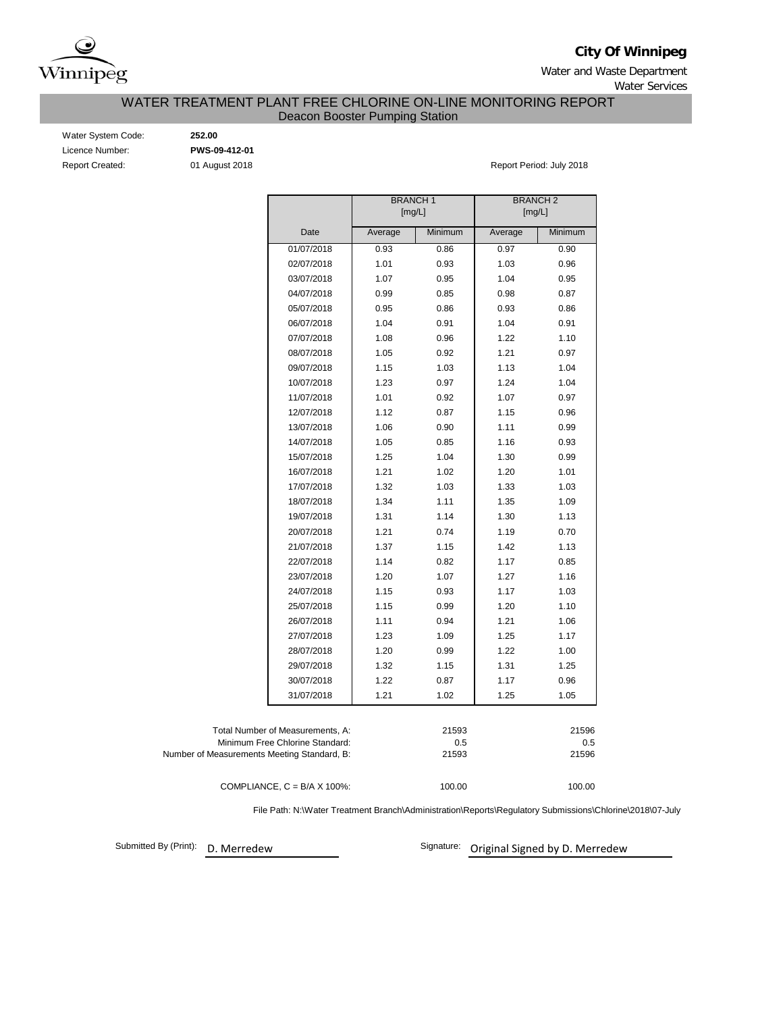

**City Of Winnipeg**

Water and Waste Department Water Services

## WATER TREATMENT PLANT FREE CHLORINE ON-LINE MONITORING REPORT Deacon Booster Pumping Station

Water System Code: **252.00**<br>
Licence Number: **252.00 PWS-09-412-01** Licence Number:

Report Created: **01 August 2018 Report Period: July 2018** Report Period: July 2018

|                                             | <b>BRANCH1</b><br>[mg/L] |         | <b>BRANCH 2</b><br>[mg/L] |         |  |  |
|---------------------------------------------|--------------------------|---------|---------------------------|---------|--|--|
| Date                                        | Average                  | Minimum | Average                   | Minimum |  |  |
| 01/07/2018                                  | 0.93                     | 0.86    | 0.97                      | 0.90    |  |  |
| 02/07/2018                                  | 1.01                     | 0.93    | 1.03                      | 0.96    |  |  |
| 03/07/2018                                  | 1.07                     | 0.95    | 1.04                      | 0.95    |  |  |
| 04/07/2018                                  | 0.99                     | 0.85    | 0.98                      | 0.87    |  |  |
| 05/07/2018                                  | 0.95                     | 0.86    | 0.93                      | 0.86    |  |  |
| 06/07/2018                                  | 1.04                     | 0.91    | 1.04                      | 0.91    |  |  |
| 07/07/2018                                  | 1.08                     | 0.96    | 1.22                      | 1.10    |  |  |
| 08/07/2018                                  | 1.05                     | 0.92    | 1.21                      | 0.97    |  |  |
| 09/07/2018                                  | 1.15                     | 1.03    | 1.13                      | 1.04    |  |  |
| 10/07/2018                                  | 1.23                     | 0.97    | 1.24                      | 1.04    |  |  |
| 11/07/2018                                  | 1.01                     | 0.92    | 1.07                      | 0.97    |  |  |
| 12/07/2018                                  | 1.12                     | 0.87    | 1.15                      | 0.96    |  |  |
| 13/07/2018                                  | 1.06                     | 0.90    | 1.11                      | 0.99    |  |  |
| 14/07/2018                                  | 1.05                     | 0.85    | 1.16                      | 0.93    |  |  |
| 15/07/2018                                  | 1.25                     | 1.04    | 1.30                      | 0.99    |  |  |
| 16/07/2018                                  | 1.21                     | 1.02    | 1.20                      | 1.01    |  |  |
| 17/07/2018                                  | 1.32                     | 1.03    | 1.33                      | 1.03    |  |  |
| 18/07/2018                                  | 1.34                     | 1.11    | 1.35                      | 1.09    |  |  |
| 19/07/2018                                  | 1.31                     | 1.14    | 1.30                      | 1.13    |  |  |
| 20/07/2018                                  | 1.21                     | 0.74    | 1.19                      | 0.70    |  |  |
| 21/07/2018                                  | 1.37                     | 1.15    | 1.42                      | 1.13    |  |  |
| 22/07/2018                                  | 1.14                     | 0.82    | 1.17                      | 0.85    |  |  |
| 23/07/2018                                  | 1.20                     | 1.07    | 1.27                      | 1.16    |  |  |
| 24/07/2018                                  | 1.15                     | 0.93    | 1.17                      | 1.03    |  |  |
| 25/07/2018                                  | 1.15                     | 0.99    | 1.20                      | 1.10    |  |  |
| 26/07/2018                                  | 1.11                     | 0.94    | 1.21                      | 1.06    |  |  |
| 27/07/2018                                  | 1.23                     | 1.09    | 1.25                      | 1.17    |  |  |
| 28/07/2018                                  | 1.20                     | 0.99    | 1.22                      | 1.00    |  |  |
| 29/07/2018                                  | 1.32                     | 1.15    | 1.31                      | 1.25    |  |  |
| 30/07/2018                                  | 1.22                     | 0.87    | 1.17                      | 0.96    |  |  |
| 31/07/2018                                  | 1.21                     | 1.02    | 1.25                      | 1.05    |  |  |
| Total Number of Measurements, A:            |                          | 21593   |                           | 21596   |  |  |
| Minimum Free Chlorine Standard:             |                          | 0.5     |                           | 0.5     |  |  |
| Number of Measurements Meeting Standard, B: |                          | 21593   |                           | 21596   |  |  |
| COMPLIANCE, $C = B/A \times 100\%$ :        |                          | 100.00  |                           | 100.00  |  |  |

File Path: N:\Water Treatment Branch\Administration\Reports\Regulatory Submissions\Chlorine\2018\07-July

Submitted By (Print): D. Merredew

Signature: Original Signed by D. Merredew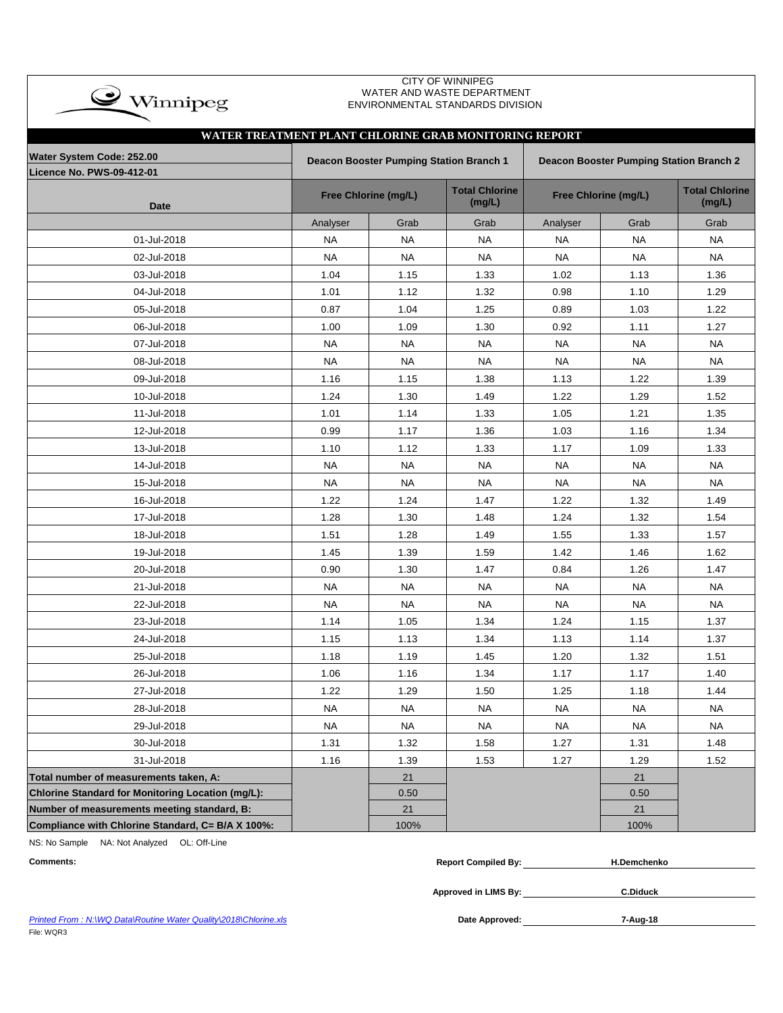| $\bullet$ Winnipeg                                            |           |                                                | <b>CITY OF WINNIPEG</b><br>WATER AND WASTE DEPARTMENT<br>ENVIRONMENTAL STANDARDS DIVISION |           |                                         |                                 |  |
|---------------------------------------------------------------|-----------|------------------------------------------------|-------------------------------------------------------------------------------------------|-----------|-----------------------------------------|---------------------------------|--|
| WATER TREATMENT PLANT CHLORINE GRAB MONITORING REPORT         |           |                                                |                                                                                           |           |                                         |                                 |  |
| Water System Code: 252.00<br><b>Licence No. PWS-09-412-01</b> |           | <b>Deacon Booster Pumping Station Branch 1</b> |                                                                                           |           | Deacon Booster Pumping Station Branch 2 |                                 |  |
| <b>Date</b>                                                   |           | Free Chlorine (mg/L)                           | <b>Total Chlorine</b><br>(mg/L)                                                           |           | Free Chlorine (mg/L)                    | <b>Total Chlorine</b><br>(mg/L) |  |
|                                                               | Analyser  | Grab                                           | Grab                                                                                      | Analyser  | Grab                                    | Grab                            |  |
| 01-Jul-2018                                                   | <b>NA</b> | <b>NA</b>                                      | <b>NA</b>                                                                                 | <b>NA</b> | <b>NA</b>                               | <b>NA</b>                       |  |
| 02-Jul-2018                                                   | <b>NA</b> | NA                                             | NA                                                                                        | <b>NA</b> | NA                                      | <b>NA</b>                       |  |
| 03-Jul-2018                                                   | 1.04      | 1.15                                           | 1.33                                                                                      | 1.02      | 1.13                                    | 1.36                            |  |
| 04-Jul-2018                                                   | 1.01      | 1.12                                           | 1.32                                                                                      | 0.98      | 1.10                                    | 1.29                            |  |
| 05-Jul-2018                                                   | 0.87      | 1.04                                           | 1.25                                                                                      | 0.89      | 1.03                                    | 1.22                            |  |
| 06-Jul-2018                                                   | 1.00      | 1.09                                           | 1.30                                                                                      | 0.92      | 1.11                                    | 1.27                            |  |
| 07-Jul-2018                                                   | <b>NA</b> | <b>NA</b>                                      | NA                                                                                        | <b>NA</b> | <b>NA</b>                               | <b>NA</b>                       |  |
| 08-Jul-2018                                                   | <b>NA</b> | <b>NA</b>                                      | <b>NA</b>                                                                                 | <b>NA</b> | NA                                      | <b>NA</b>                       |  |
| 09-Jul-2018                                                   | 1.16      | 1.15                                           | 1.38                                                                                      | 1.13      | 1.22                                    | 1.39                            |  |
| 10-Jul-2018                                                   | 1.24      | 1.30                                           | 1.49                                                                                      | 1.22      | 1.29                                    | 1.52                            |  |
| 11-Jul-2018                                                   | 1.01      | 1.14                                           | 1.33                                                                                      | 1.05      | 1.21                                    | 1.35                            |  |
| 12-Jul-2018                                                   | 0.99      | 1.17                                           | 1.36                                                                                      | 1.03      | 1.16                                    | 1.34                            |  |
| 13-Jul-2018                                                   | 1.10      | 1.12                                           | 1.33                                                                                      | 1.17      | 1.09                                    | 1.33                            |  |
| 14-Jul-2018                                                   | <b>NA</b> | <b>NA</b>                                      | <b>NA</b>                                                                                 | <b>NA</b> | <b>NA</b>                               | <b>NA</b>                       |  |
| 15-Jul-2018                                                   | <b>NA</b> | <b>NA</b>                                      | <b>NA</b>                                                                                 | <b>NA</b> | NA                                      | <b>NA</b>                       |  |
| 16-Jul-2018                                                   | 1.22      | 1.24                                           | 1.47                                                                                      | 1.22      | 1.32                                    | 1.49                            |  |
| 17-Jul-2018                                                   | 1.28      | 1.30                                           | 1.48                                                                                      | 1.24      | 1.32                                    | 1.54                            |  |
| 18-Jul-2018                                                   | 1.51      | 1.28                                           | 1.49                                                                                      | 1.55      | 1.33                                    | 1.57                            |  |
| 19-Jul-2018                                                   | 1.45      | 1.39                                           | 1.59                                                                                      | 1.42      | 1.46                                    | 1.62                            |  |
| 20-Jul-2018                                                   | 0.90      | 1.30                                           | 1.47                                                                                      | 0.84      | 1.26                                    | 1.47                            |  |
| 21-Jul-2018                                                   | <b>NA</b> | <b>NA</b>                                      | <b>NA</b>                                                                                 | <b>NA</b> | <b>NA</b>                               | <b>NA</b>                       |  |
| 22-Jul-2018                                                   | <b>NA</b> | <b>NA</b>                                      | <b>NA</b>                                                                                 | <b>NA</b> | <b>NA</b>                               | <b>NA</b>                       |  |
| 23-Jul-2018                                                   | 1.14      | 1.05                                           | 1.34                                                                                      | 1.24      | 1.15                                    | 1.37                            |  |
| 24-Jul-2018                                                   | 1.15      | 1.13                                           | 1.34                                                                                      | 1.13      | 1.14                                    | 1.37                            |  |
| 25-Jul-2018                                                   | 1.18      | 1.19                                           | 1.45                                                                                      | 1.20      | 1.32                                    | 1.51                            |  |
| 26-Jul-2018                                                   | 1.06      | 1.16                                           | 1.34                                                                                      | 1.17      | 1.17                                    | 1.40                            |  |
| 27-Jul-2018                                                   | 1.22      | 1.29                                           | 1.50                                                                                      | 1.25      | 1.18                                    | 1.44                            |  |
| 28-Jul-2018                                                   | <b>NA</b> | <b>NA</b>                                      | <b>NA</b>                                                                                 | <b>NA</b> | <b>NA</b>                               | <b>NA</b>                       |  |
| 29-Jul-2018                                                   | <b>NA</b> | <b>NA</b>                                      | NA                                                                                        | NA        | NA                                      | <b>NA</b>                       |  |
| 30-Jul-2018                                                   | 1.31      | 1.32                                           | 1.58                                                                                      | 1.27      | 1.31                                    | 1.48                            |  |
| 31-Jul-2018                                                   | 1.16      | 1.39                                           | 1.53                                                                                      | 1.27      | 1.29                                    | 1.52                            |  |
| Total number of measurements taken, A:                        |           | 21                                             |                                                                                           |           | 21                                      |                                 |  |
| Chlorine Standard for Monitoring Location (mg/L):             |           | 0.50                                           |                                                                                           |           | 0.50                                    |                                 |  |
| Number of measurements meeting standard, B:                   |           | 21                                             |                                                                                           |           | 21                                      |                                 |  |
| Compliance with Chlorine Standard, C= B/A X 100%:             |           | 100%                                           |                                                                                           |           | 100%                                    |                                 |  |

NS: No Sample NA: Not Analyzed OL: Off-Line

| <b>Comments:</b>                                                 | <b>Report Compiled By:</b> | <b>H.Demchenko</b> |  |
|------------------------------------------------------------------|----------------------------|--------------------|--|
|                                                                  | Approved in LIMS By:       | <b>C.Diduck</b>    |  |
| Printed From: N:\WQ Data\Routine Water Quality\2018\Chlorine.xls | Date Approved:             | 7-Aug-18           |  |

**Printed From : N:\WQ Data\Routine Water Quality\2018\Chlorine.xls** File: WQR3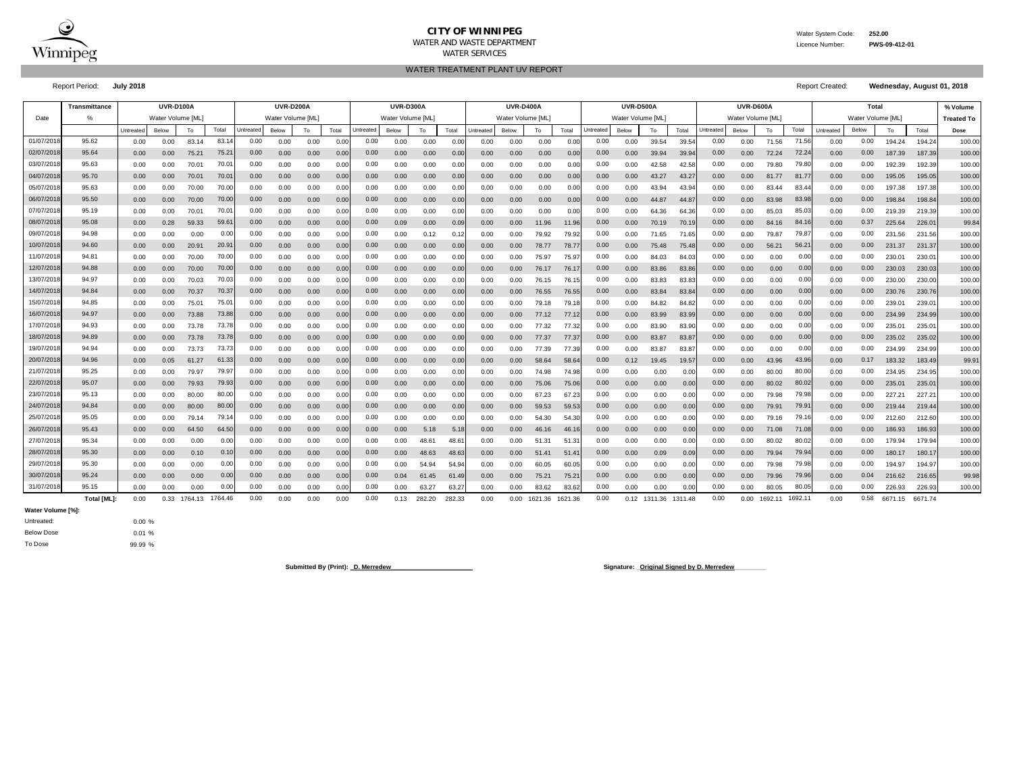

#### **CITY OF WINNIPEG** WATER WATER System Code: 252.00 WATER AND WASTE DEPARTMENT Licence Number: **PWS-09-412-01** WATER SERVICES

WATER TREATMENT PLANT UV REPORT

Report Period: **July 2018** Report Created: **Wednesday, August 01, 2018**

|            | Transmittance |          | <b>UVR-D100A</b> |         |                   |                  | <b>UVR-D200A</b>  |      |       |           | <b>UVR-D300A</b> |        |        |                  | <b>UVR-D400A</b> |         |         |          | <b>UVR-D500A</b> |         |         |           | UVR-D600A        |         |         |           | Total            |                    |         | % Volume          |
|------------|---------------|----------|------------------|---------|-------------------|------------------|-------------------|------|-------|-----------|------------------|--------|--------|------------------|------------------|---------|---------|----------|------------------|---------|---------|-----------|------------------|---------|---------|-----------|------------------|--------------------|---------|-------------------|
| Date       |               |          | Water Volume IML |         |                   |                  | Water Volume [ML] |      |       |           | Water Volume IML |        |        |                  | Water Volume IML |         |         |          | Water Volume IML |         |         |           | Water Volume IML |         |         |           | Water Volume IML |                    |         | <b>Treated To</b> |
|            |               | Untreate | Below            | To      | Total             | <b>Jntreated</b> | Below             | To   | Total | Untreated | Below            | To     | Total  | <b>Jntreated</b> | Below            | To      | Total   | Jntreate | Below            | To      | Total   | Untreated | Below            | To      | Total   | Untreated | Below            | To                 | Total   | Dose              |
| 01/07/2018 | 95.62         | 0.00     | 0.00             | 83.14   | 83.1              | 0.00             | 0.00              | 0.00 | 0.00  | 0.00      | 0.00             | 0.00   | 0.00   | 0.00             | 0.00             | 0.00    | 0.0     | 0.00     | 0.00             | 39.54   | 39.5    | 0.00      | 0.00             | 71.56   | 71.56   | 0.00      | 0.00             | 194.24             | 194.24  | 100.00            |
| 02/07/201  | 95.64         | 0.00     | 0.00             | 75.21   | 75.2'             | 0.00             | 0.00              | 0.00 | 0.00  | 0.00      | 0.00             | 0.00   | 0.00   | 0.00             | 0.00             | 0.00    | 0.0     | 0.00     | 0.00             | 39.94   | 39.9    | 0.00      | 0.00             | 72.24   | 72.24   | 0.00      | 0.00             | 187.39             | 187.39  | 100.00            |
| 03/07/201  | 95.63         | 0.00     | 0.00             | 70.01   | 70.0              | 0.00             | 0.00              | 0.00 | 0.0   | 0.00      | 0.00             | 0.00   | 0.00   | 0.00             | 0.00             | 0.00    | 0.0(    | 0.00     | 0.00             | 42.58   | 42.5    | 0.00      | 0.00             | 79.80   | 79.8    | 0.00      | 0.00             | 192.39             | 192.39  | 100.00            |
| 04/07/201  | 95.70         | 0.00     | 0.00             | 70.01   | 70.0 <sup>4</sup> | 0.00             | 0.00              | 0.00 | 0.00  | 0.00      | 0.00             | 0.00   | 0.00   | 0.00             | 0.00             | 0.00    | 0.0(    | 0.00     | 0.00             | 43.27   | 43.2    | 0.00      | 0.00             | 81.77   | 81.7    | 0.00      | 0.00             | 195.05             | 195.05  | 100.00            |
| 05/07/201  | 95.63         | 0.00     | 0.00             | 70.00   | 70.00             | 0.00             | 0.00              | 0.00 | 0.00  | 0.00      | 0.00             | 0.00   | 0.00   | 0.00             | 0.00             | 0.00    | 0.00    | 0.00     | 0.00             | 43.94   | 43.9    | 0.00      | 0.00             | 83.44   | 83.44   | 0.00      | 0.00             | 197.38             | 197.38  | 100.00            |
| 06/07/201  | 95.50         | 0.00     | 0.00             | 70.00   | 70.00             | 0.00             | 0.00              | 0.00 | 0.00  | 0.00      | 0.00             | 0.00   | 0.00   | 0.00             | 0.00             | 0.00    | 0.00    | 0.00     | 0.00             | 44.87   | 44.8    | 0.00      | 0.00             | 83.98   | 83.98   | 0.00      | 0.00             | 198.84             | 198.84  | 100.00            |
| 07/07/201  | 95.19         | 0.00     | 0.00             | 70.01   | $70.0^{\circ}$    | 0.00             | 0.00              | 0.00 | 0.00  | 0.00      | 0.00             | 0.00   | 0.00   | 0.00             | 0.00             | 0.00    | 0.00    | 0.00     | 0.00             | 64.36   | 64.36   | 0.00      | 0.00             | 85.03   | 85.03   | 0.00      | 0.00             | 219.39             | 219.39  | 100.00            |
| 08/07/201  | 95.08         | 0.00     | 0.28             | 59.33   | 59.6              | 0.00             | 0.00              | 0.00 | 0.00  | 0.00      | 0.09             | 0.00   | 0.09   | 0.00             | 0.00             | 11.96   | 11.9    | 0.00     | 0.00             | 70.19   | 70.1    | 0.00      | 0.00             | 84.16   | 84.1    | 0.00      | 0.37             | 225.64             | 226.0   | 99.84             |
| 09/07/201  | 94.98         | 0.00     | 0.00             | 0.00    | 0.00              | 0.00             | 0.00              | 0.00 | 0.00  | 0.00      | 0.00             | 0.12   | 0.1    | 0.00             | 0.00             | 79.92   | 79.9    | 0.00     | 0.00             | 71.65   | 71.6    | 0.00      | 0.00             | 79.87   | 79.8    | 0.00      | 0.00             | 231.56             | 231.56  | 100.00            |
| 10/07/201  | 94.60         | 0.00     | 0.00             | 20.91   | 20.9 <sup>o</sup> | 0.00             | 0.00              | 0.00 | 0.00  | 0.00      | 0.00             | 0.00   | 0.00   | 0.00             | 0.00             | 78.77   | 78.7    | 0.00     | 0.00             | 75.48   | 75.4    | 0.00      | 0.00             | 56.21   | 56.2    | 0.00      | 0.00             | 231.37             | 231.37  | 100.00            |
| 11/07/201  | 94.81         | 0.00     | 0.00             | 70.00   | 70.00             | 0.00             | 0.00              | 0.00 | 0.0   | 0.00      | 0.00             | 0.00   | 0.00   | 0.00             | 0.00             | 75.97   | 75.9    | 0.00     | 0.00             | 84.03   | 84.0    | 0.00      | 0.00             | 0.00    | 0.00    | 0.00      | 0.00             | 230.0 <sup>4</sup> | 230.0   | 100.00            |
| 12/07/201  | 94.88         | 0.00     | 0.00             | 70.00   | 70.00             | 0.00             | 0.00              | 0.00 | 0.00  | 0.00      | 0.00             | 0.00   | 0.00   | 0.00             | 0.00             | 76.17   | 76.1    | 0.00     | 0.00             | 83.86   | 83.8    | 0.00      | 0.00             | 0.00    | 0.00    | 0.00      | 0.00             | 230.03             | 230.03  | 100.00            |
| 13/07/201  | 94.97         | 0.00     | 0.00             | 70.03   | 70.03             | 0.00             | 0.00              | 0.00 | 0.00  | 0.00      | 0.00             | 0.00   | 0.00   | 0.00             | 0.00             | 76.15   | 76.1    | 0.00     | 0.00             | 83.83   | 83.83   | 0.00      | 0.00             | 0.00    | 0.00    | 0.00      | 0.00             | 230.00             | 230.00  | 100.00            |
| 14/07/201  | 94.84         | 0.00     | 0.00             | 70.37   | 70.37             | 0.00             | 0.00              | 0.00 | 0.00  | 0.00      | 0.00             | 0.00   | 0.00   | 0.00             | 0.00             | 76.55   | 76.5    | 0.00     | 0.00             | 83.84   | 83.8    | 0.00      | 0.00             | 0.00    | 0.00    | 0.00      | 0.00             | 230.76             | 230.76  | 100.00            |
| 15/07/201  | 94.85         | 0.00     | 0.00             | 75.01   | 75.0              | 0.00             | 0.00              | 0.00 | 0.00  | 0.00      | 0.00             | 0.00   | 0.00   | 0.00             | 0.00             | 79.18   | 79.1    | 0.00     | 0.00             | 84.82   | 84.8    | 0.00      | 0.00             | 0.00    | 0.00    | 0.00      | 0.00             | 239.01             | 239.0   | 100.00            |
| 16/07/201  | 94.97         | 0.00     | 0.00             | 73.88   | 73.88             | 0.00             | 0.00              | 0.00 | 0.00  | 0.00      | 0.00             | 0.00   | 0.00   | 0.00             | 0.00             | 77.12   | 77.1    | 0.00     | 0.00             | 83.99   | 83.9    | 0.00      | 0.00             | 0.00    | 0.00    | 0.00      | 0.00             | 234.99             | 234.99  | 100.00            |
| 17/07/201  | 94.93         | 0.00     | 0.00             | 73.78   | 73.7              | 0.00             | 0.00              | 0.00 | 0.00  | 0.00      | 0.00             | 0.00   | 0.00   | 0.00             | 0.00             | 77.32   | 77.32   | 0.00     | 0.00             | 83.90   | 83.9    | 0.00      | 0.00             | 0.00    | 0.00    | 0.00      | 0.00             | 235.01             | 235.0   | 100.00            |
| 18/07/201  | 94.89         | 0.00     | 0.00             | 73.78   | 73.7              | 0.00             | 0.00              | 0.00 | 0.00  | 0.00      | 0.00             | 0.00   | 0.00   | 0.00             | 0.00             | 77.37   | 77.37   | 0.00     | 0.00             | 83.87   | 83.8    | 0.00      | 0.00             | 0.00    | 0.00    | 0.00      | 0.00             | 235.02             | 235.02  | 100.00            |
| 19/07/201  | 94.94         | 0.00     | 0.00             | 73.73   | 73.7              | 0.00             | 0.00              | 0.00 | 0.0   | 0.00      | 0.00             | 0.00   | 0.0    | 0.00             | 0.00             | 77.39   | 77.3    | 0.00     | 0.00             | 83.87   | 83.8    | 0.00      | 0.00             | 0.00    | 0.0(    | 0.00      | 0.00             | 234.99             | 234.99  | 100.00            |
| 20/07/201  | 94.96         | 0.00     | 0.05             | 61.27   | 61.33             | 0.00             | 0.00              | 0.00 | 0.00  | 0.00      | 0.00             | 0.00   | 0.00   | 0.00             | 0.00             | 58.64   | 58.6    | 0.00     | 0.12             | 19.45   | 19.5    | 0.00      | 0.00             | 43.96   | 43.9    | 0.00      | 0.17             | 183.32             | 183.49  | 99.91             |
| 21/07/201  | 95.25         | 0.00     | 0.00             | 79.97   | 79.97             | 0.00             | 0.00              | 0.00 | 0.00  | 0.00      | 0.00             | 0.00   | 0.00   | 0.00             | 0.00             | 74.98   | 74.9    | 0.00     | 0.00             | 0.00    | 0.0     | 0.00      | 0.00             | 80.00   | 80.0    | 0.00      | 0.00             | 234.95             | 234.95  | 100.00            |
| 22/07/201  | 95.07         | 0.00     | 0.00             | 79.93   | 79.93             | 0.00             | 0.00              | 0.00 | 0.00  | 0.00      | 0.00             | 0.00   | 0.00   | 0.00             | 0.00             | 75.06   | 75.0    | 0.00     | 0.00             | 0.00    | 0.00    | 0.00      | 0.00             | 80.02   | 80.02   | 0.00      | 0.00             | 235.01             | 235.01  | 100.00            |
| 23/07/201  | 95.13         | 0.00     | 0.00             | 80.00   | 80.00             | 0.00             | 0.00              | 0.00 | 0.00  | 0.00      | 0.00             | 0.00   | 0.00   | 0.00             | 0.00             | 67.23   | 67.23   | 0.00     | 0.00             | 0.00    | 0.0     | 0.00      | 0.00             | 79.98   | 79.98   | 0.00      | 0.00             | 227.21             | 227.21  | 100.00            |
| 24/07/201  | 94.84         | 0.00     | 0.00             | 80.00   | 80.00             | 0.00             | 0.00              | 0.00 | 0.00  | 0.00      | 0.00             | 0.00   | 0.00   | 0.00             | 0.00             | 59.53   | 59.53   | 0.00     | 0.00             | 0.00    | 0.00    | 0.00      | 0.00             | 79.91   | 79.9    | 0.00      | 0.00             | 219.44             | 219.44  | 100.00            |
| 25/07/201  | 95.05         | 0.00     | 0.00             | 79.14   | 79.1              | 0.00             | 0.00              | 0.00 | 0.00  | 0.00      | 0.00             | 0.00   | 0.00   | 0.00             | 0.00             | 54.30   | 54.30   | 0.00     | 0.00             | 0.00    | 0.00    | 0.00      | 0.00             | 79.16   | 79.1    | 0.00      | 0.00             | 212.60             | 212.60  | 100.00            |
| 26/07/201  | 95.43         | 0.00     | 0.00             | 64.50   | 64.50             | 0.00             | 0.00              | 0.00 | 0.00  | 0.00      | 0.00             | 5.18   | 5.18   | 0.00             | 0.00             | 46.16   | 46.1    | 0.00     | 0.00             | 0.00    | 0.0     | 0.00      | 0.00             | 71.08   | 71.0    | 0.00      | 0.00             | 186.93             | 186.93  | 100.00            |
| 27/07/201  | 95.34         | 0.00     | 0.00             | 0.00    | 0.00              | 0.00             | 0.00              | 0.00 | 0.0   | 0.00      | 0.00             | 48.61  | 48.6   | 0.00             | 0.00             | 51.31   | 51.3    | 0.00     | 0.00             | 0.00    | 0.0     | 0.00      | 0.00             | 80.02   | 80.02   | 0.00      | 0.00             | 179.94             | 179.94  | 100.00            |
| 28/07/201  | 95.30         | 0.00     | 0.00             | 0.10    | 0.10              | 0.00             | 0.00              | 0.00 | 0.00  | 0.00      | 0.00             | 48.63  | 48.6   | 0.00             | 0.00             | 51.41   | 51.4    | 0.00     | 0.00             | 0.09    | 0.0     | 0.00      | 0.00             | 79.94   | 79.9    | 0.00      | 0.00             | 180.17             | 180.17  | 100.00            |
| 29/07/201  | 95.30         | 0.00     | 0.00             | 0.00    | 0.00              | 0.00             | 0.00              | 0.00 | 0.0   | 0.00      | 0.00             | 54.94  | 54.9   | 0.00             | 0.00             | 60.05   | 60.0    | 0.00     | 0.00             | 0.00    | 0.0     | 0.00      | 0.00             | 79.98   | 79.9    | 0.00      | 0.00             | 194.97             | 194.97  | 100.00            |
| 30/07/201  | 95.24         | 0.00     | 0.00             | 0.00    | 0.00              | 0.00             | 0.00              | 0.00 | 0.00  | 0.00      | 0.04             | 61.45  | 61.49  | 0.00             | 0.00             | 75.21   | 75.21   | 0.00     | 0.00             | 0.00    | 0.00    | 0.00      | 0.00             | 79.96   | 79.96   | 0.00      | 0.04             | 216.62             | 216.65  | 99.98             |
| 31/07/2018 | 95.15         | 0.00     | 0.00             | 0.00    | 0.00              | 0.00             | 0.00              | 0.00 | 0.00  | 0.00      | 0.00             | 63.27  | 63.27  | 0.00             | 0.00             | 83.62   | 83.6    | 0.00     | 0.00             | 0.00    | 0.00    | 0.00      | 0.00             | 80.05   | 80.05   | 0.00      | 0.00             | 226.93             | 226.93  | 100.00            |
|            | Total [ML]:   | 0.00     | 0.33             | 1764.13 | 1764.46           | 0.00             | 0.00              | 0.00 | 0.00  | 0.00      | 0.13             | 282.20 | 282.33 | 0.00             | 0.00             | 1621.36 | 1621.36 | 0.00     | 0.12             | 1311.36 | 1311.48 | 0.00      | 0.00             | 1692.11 | 1692.11 | 0.00      | 0.58             | 6671.15            | 6671.74 |                   |

**Water Volume [%]:**

0.00 % 0.01 % 99.99 % Below Dose Untreated: To Dose

**Submitted By (Print): \_D. Merredew\_\_\_\_\_\_\_\_\_\_\_\_\_\_\_\_\_\_\_\_\_\_\_ Signature: \_Original Signed by D. Merredew\_\_\_\_\_\_\_\_\_**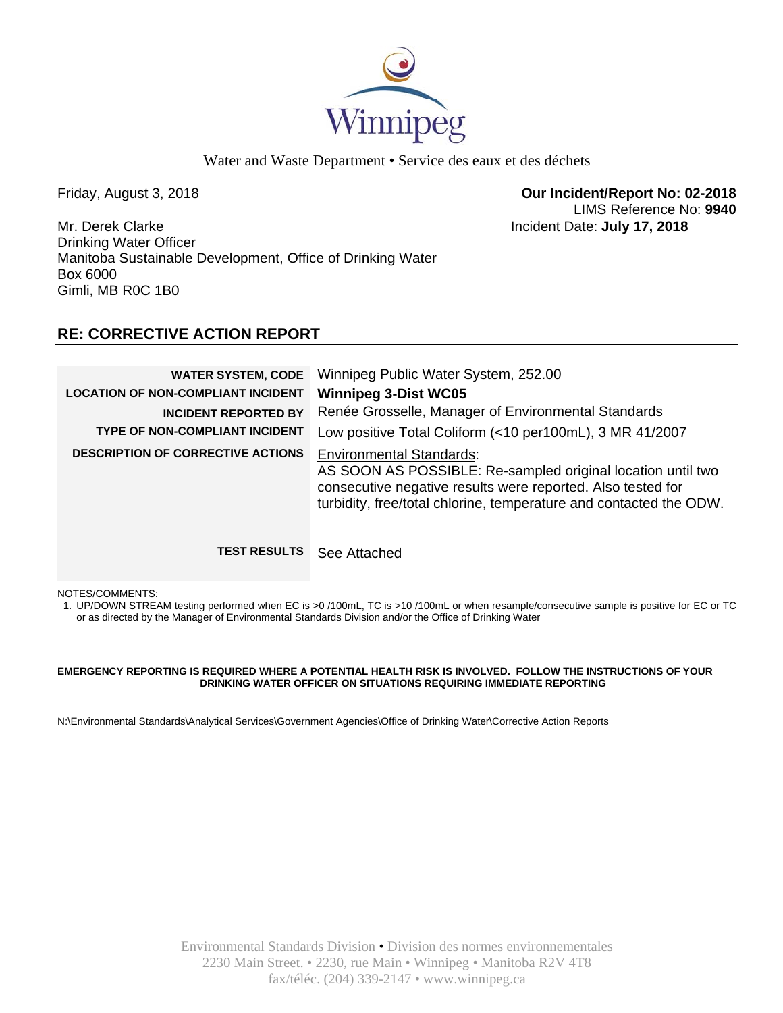

Friday, August 3, 2018 **Our Incident/Report No: 02-2018**  LIMS Reference No: **9940**

Mr. Derek Clarke Incident Date: **July 17, 2018**  Drinking Water Officer Manitoba Sustainable Development, Office of Drinking Water Box 6000 Gimli, MB R0C 1B0

# **RE: CORRECTIVE ACTION REPORT**

| <b>WATER SYSTEM, CODE</b><br><b>LOCATION OF NON-COMPLIANT INCIDENT</b><br><b>INCIDENT REPORTED BY</b><br>TYPE OF NON-COMPLIANT INCIDENT<br><b>DESCRIPTION OF CORRECTIVE ACTIONS</b> | Winnipeg Public Water System, 252.00<br><b>Winnipeg 3-Dist WC05</b><br>Renée Grosselle, Manager of Environmental Standards<br>Low positive Total Coliform (<10 per100mL), 3 MR 41/2007<br><b>Environmental Standards:</b><br>AS SOON AS POSSIBLE: Re-sampled original location until two<br>consecutive negative results were reported. Also tested for<br>turbidity, free/total chlorine, temperature and contacted the ODW. |
|-------------------------------------------------------------------------------------------------------------------------------------------------------------------------------------|-------------------------------------------------------------------------------------------------------------------------------------------------------------------------------------------------------------------------------------------------------------------------------------------------------------------------------------------------------------------------------------------------------------------------------|
| <b>TEST RESULTS</b>                                                                                                                                                                 | See Attached                                                                                                                                                                                                                                                                                                                                                                                                                  |

NOTES/COMMENTS:

1. UP/DOWN STREAM testing performed when EC is >0 /100mL, TC is >10 /100mL or when resample/consecutive sample is positive for EC or TC or as directed by the Manager of Environmental Standards Division and/or the Office of Drinking Water

## **EMERGENCY REPORTING IS REQUIRED WHERE A POTENTIAL HEALTH RISK IS INVOLVED. FOLLOW THE INSTRUCTIONS OF YOUR DRINKING WATER OFFICER ON SITUATIONS REQUIRING IMMEDIATE REPORTING**

N:\Environmental Standards\Analytical Services\Government Agencies\Office of Drinking Water\Corrective Action Reports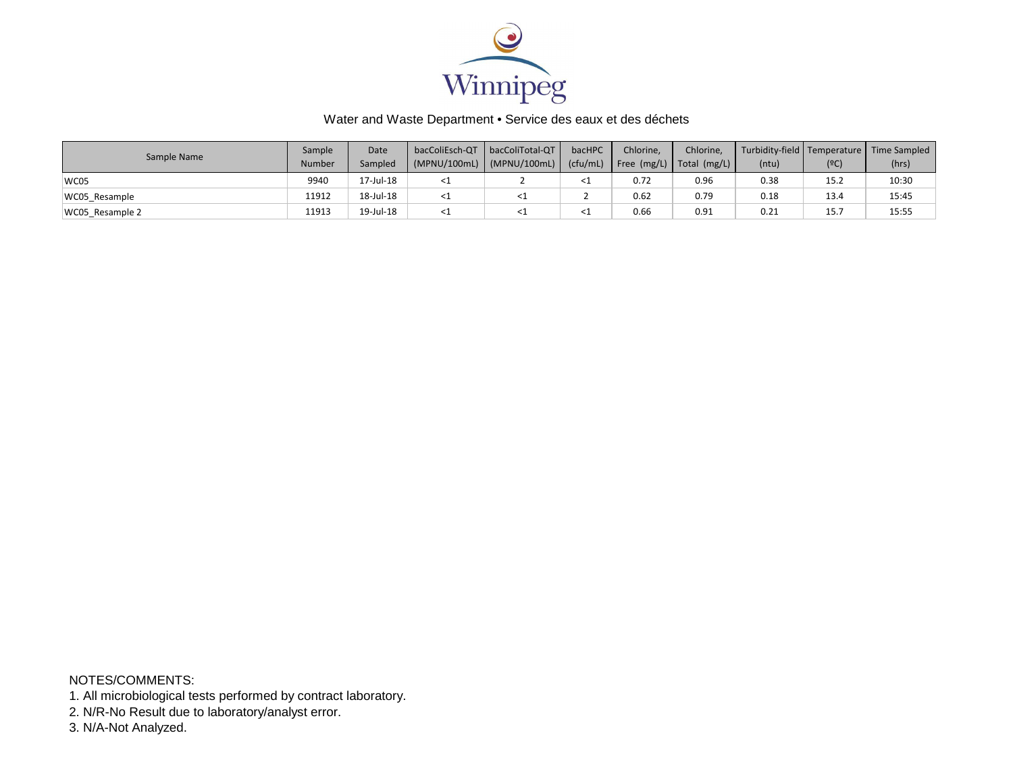

| Sample Name     | Sample | Date      | bacColiEsch-QT | bacColiTotal-QT | bacHPC   | Chlorine,     | Chlorine,                    |       |      | Turbidity-field Temperature   Time Sampled |
|-----------------|--------|-----------|----------------|-----------------|----------|---------------|------------------------------|-------|------|--------------------------------------------|
|                 | Number | Sampled   | (MPNU/100mL)   | (MPNU/100mL)    | (cfu/mL) | Free $(mg/L)$ | $\vert$ Total (mg/L) $\vert$ | (ntu) | (9C) | (hrs)                                      |
| WC05            | 9940   | 17-Jul-18 |                |                 |          | 0.72          | 0.96                         | 0.38  | 15.2 | 10:30                                      |
| WC05 Resample   | 11912  | 18-Jul-18 |                |                 |          | 0.62          | 0.79                         | 0.18  | 13.4 | 15:45                                      |
| WC05 Resample 2 | 11913  | 19-Jul-18 |                |                 |          | 0.66          | 0.91                         | 0.21  | 15.7 | 15:55                                      |

NOTES/COMMENTS:

1. All microbiological tests performed by contract laboratory.

2. N/R-No Result due to laboratory/analyst error.

3. N/A-Not Analyzed.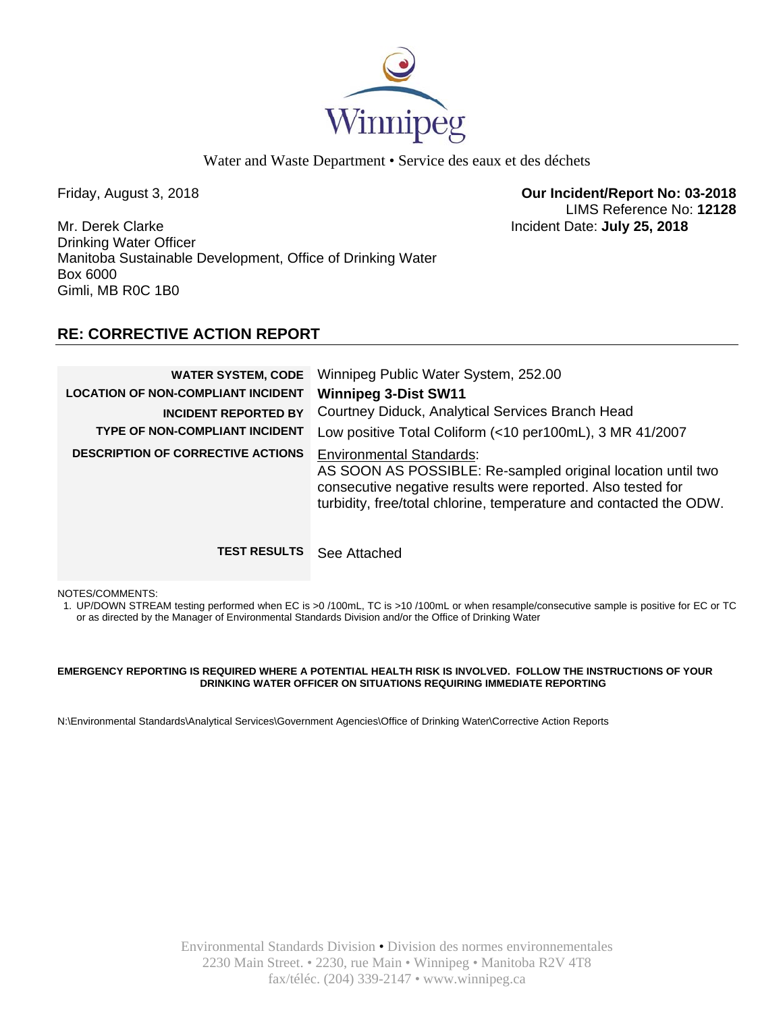

Friday, August 3, 2018 **Our Incident/Report No: 03-2018**  LIMS Reference No: **12128**

Mr. Derek Clarke Incident Date: **July 25, 2018**  Drinking Water Officer Manitoba Sustainable Development, Office of Drinking Water Box 6000 Gimli, MB R0C 1B0

# **RE: CORRECTIVE ACTION REPORT**

| <b>WATER SYSTEM, CODE</b><br><b>LOCATION OF NON-COMPLIANT INCIDENT</b><br><b>INCIDENT REPORTED BY</b><br>TYPE OF NON-COMPLIANT INCIDENT<br><b>DESCRIPTION OF CORRECTIVE ACTIONS</b> | Winnipeg Public Water System, 252.00<br><b>Winnipeg 3-Dist SW11</b><br>Courtney Diduck, Analytical Services Branch Head<br>Low positive Total Coliform (<10 per100mL), 3 MR 41/2007<br><b>Environmental Standards:</b><br>AS SOON AS POSSIBLE: Re-sampled original location until two<br>consecutive negative results were reported. Also tested for<br>turbidity, free/total chlorine, temperature and contacted the ODW. |
|-------------------------------------------------------------------------------------------------------------------------------------------------------------------------------------|----------------------------------------------------------------------------------------------------------------------------------------------------------------------------------------------------------------------------------------------------------------------------------------------------------------------------------------------------------------------------------------------------------------------------|
| <b>TEST RESULTS</b>                                                                                                                                                                 | See Attached                                                                                                                                                                                                                                                                                                                                                                                                               |

NOTES/COMMENTS:

1. UP/DOWN STREAM testing performed when EC is >0 /100mL, TC is >10 /100mL or when resample/consecutive sample is positive for EC or TC or as directed by the Manager of Environmental Standards Division and/or the Office of Drinking Water

## **EMERGENCY REPORTING IS REQUIRED WHERE A POTENTIAL HEALTH RISK IS INVOLVED. FOLLOW THE INSTRUCTIONS OF YOUR DRINKING WATER OFFICER ON SITUATIONS REQUIRING IMMEDIATE REPORTING**

N:\Environmental Standards\Analytical Services\Government Agencies\Office of Drinking Water\Corrective Action Reports